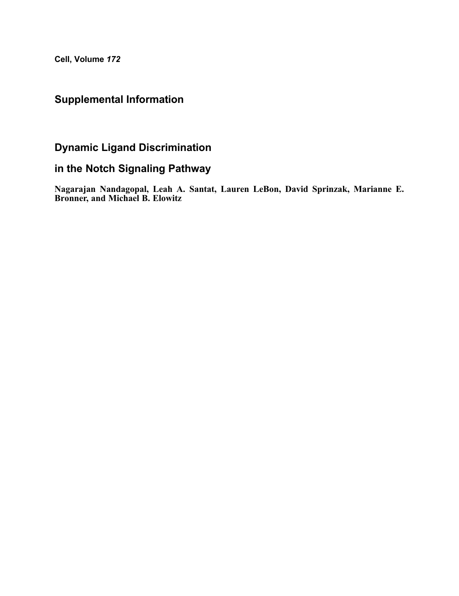Cell, Volume 172

## Supplemental Information

## Dynamic Ligand Discrimination

## in the Notch Signaling Pathway

Nagarajan Nandagopal, Leah A. Santat, Lauren LeBon, David Sprinzak, Marianne E. Bronner, and Michael B. Elowitz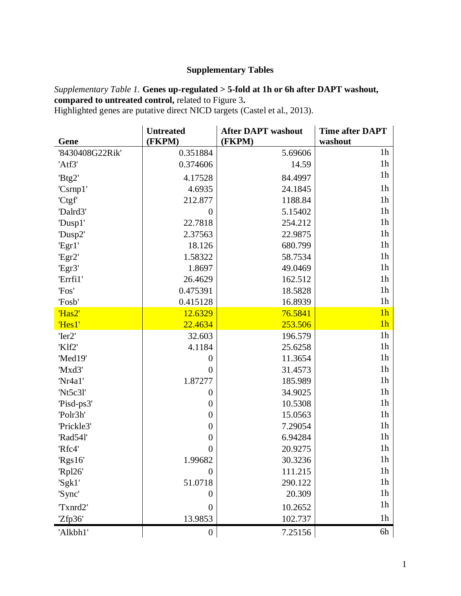## **Supplementary Tables**

*Supplementary Table 1.* **Genes up-regulated > 5-fold at 1h or 6h after DAPT washout, compared to untreated control,** related to Figure 3**.** Highlighted genes are putative direct NICD targets (Castel et al., 2013).

**Gene Untreated (FKPM) After DAPT washout (FKPM) Time after DAPT washout** '8430408G22Rik' 0.351884 5.69606 1h 'Atf3' 14.59 11.59 11.59 1h  $Btg2'$  1h  $4.17528$  84.4997 'Csrnp1' 1h 4.6935 | 24.1845 1h 'Ctgf' 1188.84 1188.84  $\text{Dalrd3'}$  1h 'Dusp1' 22.7818 254.212 'Dusp2' 1h 2.37563 22.9875 1h 'Egr1' 18.126 680.799 1h 'Egr2' 1.58322 58.7534 'Egr3' 1.8697 1.8697 49.0469 1h 'Errfi1' 162.512 1h 'Fos' 18.5828 1h 'Fosb' 16.8939 1h 'Has2' 12.6329 76.5841 1h 'Hes1' 22.4634 253.506 1h  $\text{Ter2'}$  196.579 1h 'Klf2' 1h 4.1184 25.6258 'Med19'  $0$  11.3654 1h 'Mxd3'  $0$  31.4573 1h 'Nr4a1' 1.87277 185.989 1h 'Nt5c3l' 1h 0 34.9025  $\begin{array}{ccc} \text{Pisd-ps3'} & 0 & 10.5308 \end{array}$  1h  $\text{Polr3h'}$  15.0563 1h 'Prickle3' 1h 0 7.29054 1h  $\text{Rad54l'}$  1h 'Rfc4'  $0$  20.9275 1h  $\text{Rgs16'}$  1.99682 30.3236 1h  $\mathbb{R}$ pl26' 111.215 1h 'Sgk1' 51.0718 290.122 'Sync'  $0 \mid 20.309 \mid 1$ h  $\text{Trand2'}$  10.2652 1h  $Zfp36'$  13.9853 102.737 1h  $7.25156$  6h